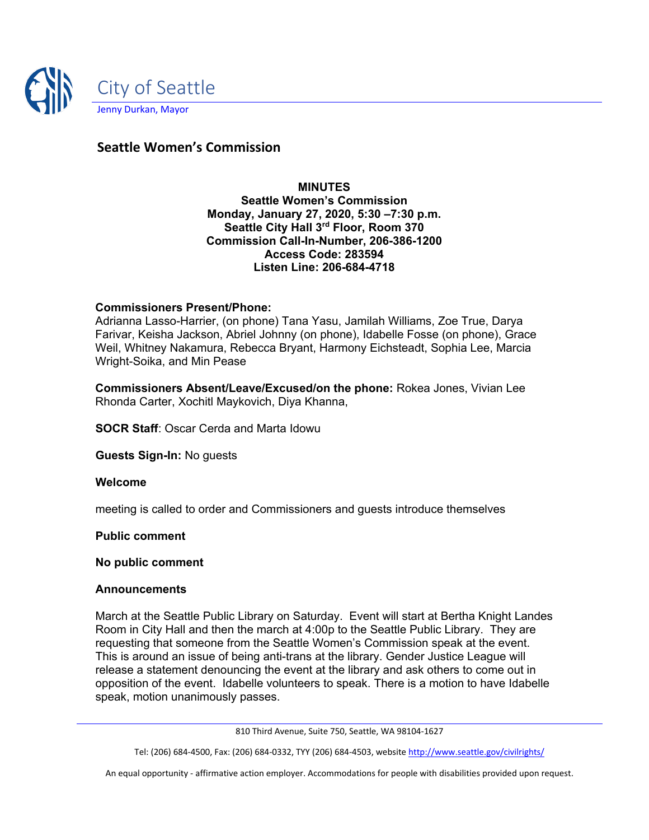

# **Seattle Women's Commission**

**MINUTES Seattle Women's Commission Monday, January 27, 2020, 5:30 –7:30 p.m. Seattle City Hall 3rd Floor, Room 370 Commission Call-In-Number, 206-386-1200 Access Code: 283594 Listen Line: 206-684-4718**

### **Commissioners Present/Phone:**

Adrianna Lasso-Harrier, (on phone) Tana Yasu, Jamilah Williams, Zoe True, Darya Farivar, Keisha Jackson, Abriel Johnny (on phone), Idabelle Fosse (on phone), Grace Weil, Whitney Nakamura, Rebecca Bryant, Harmony Eichsteadt, Sophia Lee, Marcia Wright-Soika, and Min Pease

**Commissioners Absent/Leave/Excused/on the phone:** Rokea Jones, Vivian Lee Rhonda Carter, Xochitl Maykovich, Diya Khanna,

**SOCR Staff**: Oscar Cerda and Marta Idowu

**Guests Sign-In:** No guests

#### **Welcome**

meeting is called to order and Commissioners and guests introduce themselves

#### **Public comment**

#### **No public comment**

#### **Announcements**

March at the Seattle Public Library on Saturday. Event will start at Bertha Knight Landes Room in City Hall and then the march at 4:00p to the Seattle Public Library. They are requesting that someone from the Seattle Women's Commission speak at the event. This is around an issue of being anti-trans at the library. Gender Justice League will release a statement denouncing the event at the library and ask others to come out in opposition of the event. Idabelle volunteers to speak. There is a motion to have Idabelle speak, motion unanimously passes.

810 Third Avenue, Suite 750, Seattle, WA 98104-1627

Tel: (206) 684-4500, Fax: (206) 684-0332, TYY (206) 684-4503, websit[e http://www.seattle.gov/civilrights/](http://www.seattle.gov/civilrights/)

An equal opportunity - affirmative action employer. Accommodations for people with disabilities provided upon request.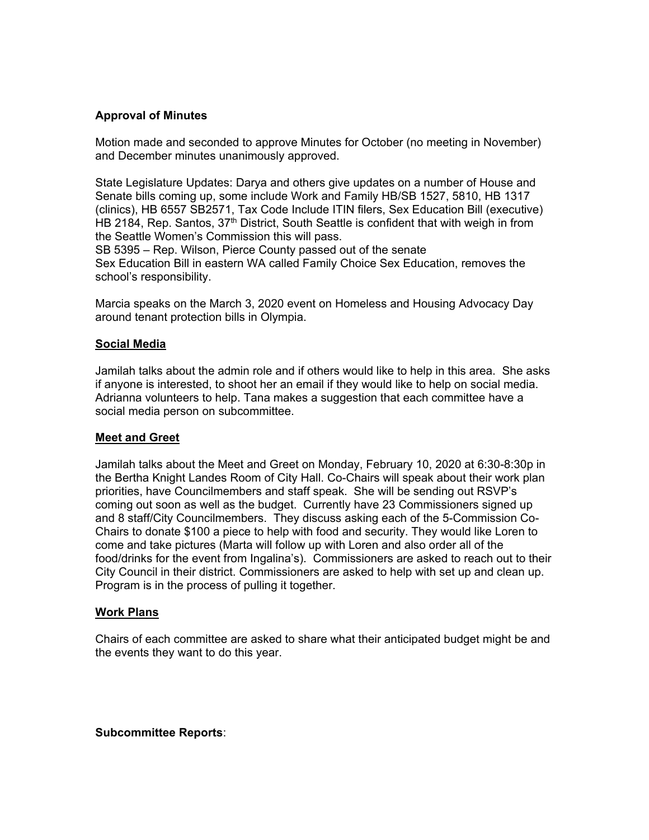### **Approval of Minutes**

Motion made and seconded to approve Minutes for October (no meeting in November) and December minutes unanimously approved.

State Legislature Updates: Darya and others give updates on a number of House and Senate bills coming up, some include Work and Family HB/SB 1527, 5810, HB 1317 (clinics), HB 6557 SB2571, Tax Code Include ITIN filers, Sex Education Bill (executive) HB 2184, Rep. Santos, 37<sup>th</sup> District, South Seattle is confident that with weigh in from the Seattle Women's Commission this will pass.

SB 5395 – Rep. Wilson, Pierce County passed out of the senate Sex Education Bill in eastern WA called Family Choice Sex Education, removes the school's responsibility.

Marcia speaks on the March 3, 2020 event on Homeless and Housing Advocacy Day around tenant protection bills in Olympia.

#### **Social Media**

Jamilah talks about the admin role and if others would like to help in this area. She asks if anyone is interested, to shoot her an email if they would like to help on social media. Adrianna volunteers to help. Tana makes a suggestion that each committee have a social media person on subcommittee.

#### **Meet and Greet**

Jamilah talks about the Meet and Greet on Monday, February 10, 2020 at 6:30-8:30p in the Bertha Knight Landes Room of City Hall. Co-Chairs will speak about their work plan priorities, have Councilmembers and staff speak. She will be sending out RSVP's coming out soon as well as the budget. Currently have 23 Commissioners signed up and 8 staff/City Councilmembers. They discuss asking each of the 5-Commission Co-Chairs to donate \$100 a piece to help with food and security. They would like Loren to come and take pictures (Marta will follow up with Loren and also order all of the food/drinks for the event from Ingalina's). Commissioners are asked to reach out to their City Council in their district. Commissioners are asked to help with set up and clean up. Program is in the process of pulling it together.

#### **Work Plans**

Chairs of each committee are asked to share what their anticipated budget might be and the events they want to do this year.

#### **Subcommittee Reports**: